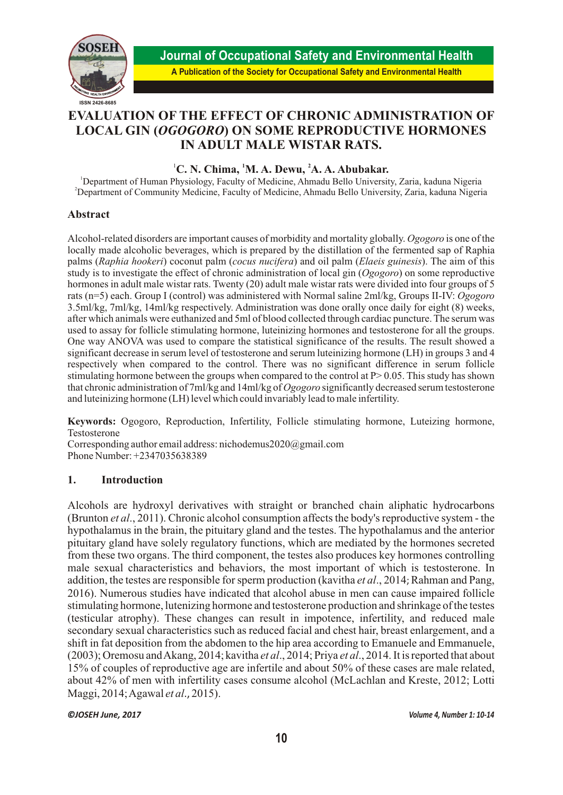

# **EVALUATION OF THE EFFECT OF CHRONIC ADMINISTRATION OF LOCAL GIN (***OGOGORO***) ON SOME REPRODUCTIVE HORMONES IN ADULT MALE WISTAR RATS.**

# <sup>1</sup>C. N. Chima, <sup>1</sup>M. A. Dewu, <sup>2</sup>A. A. Abubakar.

<sup>1</sup>Department of Human Physiology, Faculty of Medicine, Ahmadu Bello University, Zaria, kaduna Nigeria <sup>2</sup>Department of Community Medicine, Faculty of Medicine, Ahmadu Bello University, Zaria, kaduna Nigeria

# **Abstract**

Alcohol-related disorders are important causes of morbidity and mortality globally. *Ogogoro* is one of the locally made alcoholic beverages, which is prepared by the distillation of the fermented sap of Raphia palms (*Raphia hookeri*) coconut palm (*cocus nucifera*) and oil palm (*Elaeis guinesis*). The aim of this study is to investigate the effect of chronic administration of local gin (*Ogogoro*) on some reproductive hormones in adult male wistar rats. Twenty (20) adult male wistar rats were divided into four groups of 5 rats (n=5) each. Group I (control) was administered with Normal saline 2ml/kg, Groups II-IV: *Ogogoro* 3.5ml/kg, 7ml/kg, 14ml/kg respectively. Administration was done orally once daily for eight (8) weeks, after which animals were euthanized and 5ml of blood collected through cardiac puncture. The serum was used to assay for follicle stimulating hormone, luteinizing hormones and testosterone for all the groups. One way ANOVA was used to compare the statistical significance of the results. The result showed a significant decrease in serum level of testosterone and serum luteinizing hormone (LH) in groups 3 and 4 respectively when compared to the control. There was no significant difference in serum follicle stimulating hormone between the groups when compared to the control at  $P > 0.05$ . This study has shown that chronic administration of 7ml/kg and 14ml/kg of *Ogogoro* significantly decreased serum testosterone and luteinizing hormone (LH) level which could invariably lead to male infertility.

**Keywords:** Ogogoro, Reproduction, Infertility, Follicle stimulating hormone, Luteizing hormone, Testosterone

Corresponding author email address: nichodemus2020@gmail.com Phone Number: +2347035638389

# **1. Introduction**

Alcohols are hydroxyl derivatives with straight or branched chain aliphatic hydrocarbons (Brunton *et al*., 2011). Chronic alcohol consumption affects the body's reproductive system - the hypothalamus in the brain, the pituitary gland and the testes. The hypothalamus and the anterior pituitary gland have solely regulatory functions, which are mediated by the hormones secreted from these two organs. The third component, the testes also produces key hormones controlling male sexual characteristics and behaviors, the most important of which is testosterone. In addition, the testes are responsible for sperm production (kavitha *et al*., 2014; Rahman and Pang, 2016). Numerous studies have indicated that alcohol abuse in men can cause impaired follicle stimulating hormone, lutenizing hormone and testosterone production and shrinkage of the testes (testicular atrophy). These changes can result in impotence, infertility, and reduced male secondary sexual characteristics such as reduced facial and chest hair, breast enlargement, and a shift in fat deposition from the abdomen to the hip area according to Emanuele and Emmanuele, (2003); Oremosu and Akang, 2014; kavitha *et al*., 2014; Priya *et al*., 2014. It is reported that about 15% of couples of reproductive age are infertile and about 50% of these cases are male related, about 42% of men with infertility cases consume alcohol (McLachlan and Kreste, 2012; Lotti Maggi, 2014; Agawal *et al*., 2015).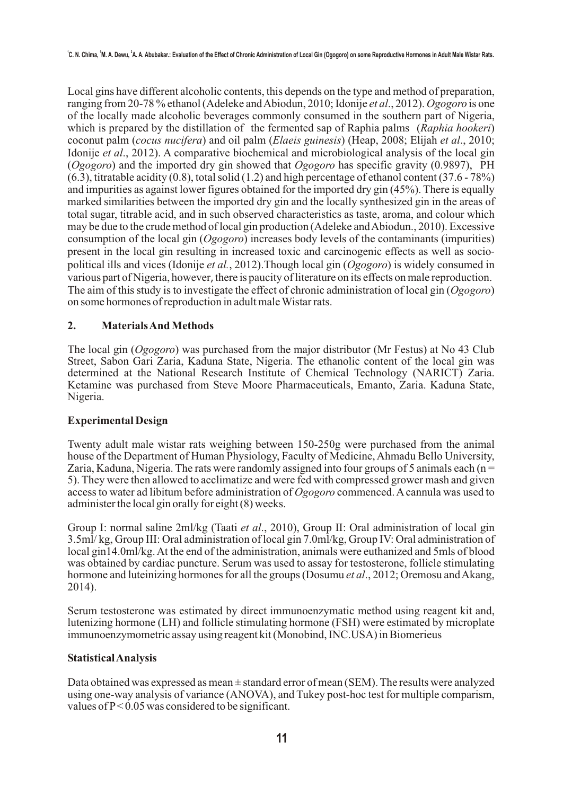Local gins have different alcoholic contents, this depends on the type and method of preparation, ranging from 20-78 % ethanol (Adeleke and Abiodun, 2010; Idonije *et al*., 2012). *Ogogoro* is one of the locally made alcoholic beverages commonly consumed in the southern part of Nigeria, which is prepared by the distillation of the fermented sap of Raphia palms (*Raphia hookeri*) coconut palm (*cocus nucifera*) and oil palm (*Elaeis guinesis*) (Heap, 2008; Elijah *et al*., 2010; Idonije *et al*., 2012). A comparative biochemical and microbiological analysis of the local gin (*Ogogoro*) and the imported dry gin showed that *Ogogoro* has specific gravity (0.9897), PH  $(6.3)$ , titratable acidity  $(0.8)$ , total solid  $(1.2)$  and high percentage of ethanol content  $(37.6 - 78%)$ and impurities as against lower figures obtained for the imported dry gin (45%). There is equally marked similarities between the imported dry gin and the locally synthesized gin in the areas of total sugar, titrable acid, and in such observed characteristics as taste, aroma, and colour which may be due to the crude method of local gin production (Adeleke and Abiodun., 2010). Excessive consumption of the local gin (*Ogogoro*) increases body levels of the contaminants (impurities) present in the local gin resulting in increased toxic and carcinogenic effects as well as sociopolitical ills and vices (Idonije *et al.*, 2012).Though local gin (*Ogogoro*) is widely consumed in various part of Nigeria, however, there is paucity of literature on its effects on male reproduction. The aim of this study is to investigate the effect of chronic administration of local gin (*Ogogoro*) on some hormones of reproduction in adult male Wistar rats.

## **2. Materials And Methods**

The local gin (*Ogogoro*) was purchased from the major distributor (Mr Festus) at No 43 Club Street, Sabon Gari Zaria, Kaduna State, Nigeria. The ethanolic content of the local gin was determined at the National Research Institute of Chemical Technology (NARICT) Zaria. Ketamine was purchased from Steve Moore Pharmaceuticals, Emanto, Zaria. Kaduna State, Nigeria.

## **Experimental Design**

Twenty adult male wistar rats weighing between 150-250g were purchased from the animal house of the Department of Human Physiology, Faculty of Medicine, Ahmadu Bello University, Zaria, Kaduna, Nigeria. The rats were randomly assigned into four groups of 5 animals each ( $n =$ 5).They were then allowed to acclimatize and were fed with compressed grower mash and given access to water ad libitum before administration of *Ogogoro* commenced. A cannula was used to administer the local gin orally for eight (8) weeks.

Group I: normal saline 2ml/kg (Taati *et al*., 2010), Group II: Oral administration of local gin 3.5ml/ kg, Group III: Oral administration of local gin 7.0ml/kg, Group IV: Oral administration of local gin14.0ml/kg. At the end of the administration, animals were euthanized and 5mls of blood was obtained by cardiac puncture. Serum was used to assay for testosterone, follicle stimulating hormone and luteinizing hormones for all the groups (Dosumu *et al*., 2012; Oremosu and Akang, 2014).

Serum testosterone was estimated by direct immunoenzymatic method using reagent kit and, lutenizing hormone (LH) and follicle stimulating hormone (FSH) were estimated by microplate immunoenzymometric assay using reagent kit (Monobind, INC.USA) in Biomerieus

#### **Statistical Analysis**

Data obtained was expressed as mean  $\pm$  standard error of mean (SEM). The results were analyzed using one-way analysis of variance (ANOVA), and Tukey post-hoc test for multiple comparism, values of  $P < 0.05$  was considered to be significant.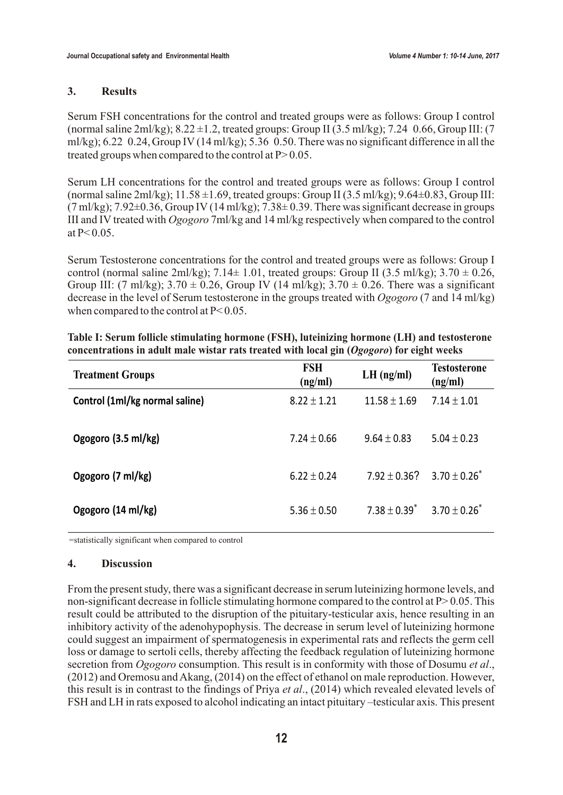#### **3. Results**

Serum FSH concentrations for the control and treated groups were as follows: Group I control (normal saline 2ml/kg);  $8.22 \pm 1.2$ , treated groups: Group II (3.5 ml/kg); 7.24 0.66, Group III: (7) ml/kg); 6.22 0.24, Group IV (14 ml/kg); 5.36 0.50. There was no significant difference in all the treated groups when compared to the control at  $P > 0.05$ .

Serum LH concentrations for the control and treated groups were as follows: Group I control (normal saline  $2m/kg$ ); 11.58  $\pm 1.69$ , treated groups: Group II (3.5 ml/kg); 9.64 $\pm 0.83$ , Group III:  $(7 \text{ ml/kg})$ ;  $7.92 \pm 0.36$ , Group IV  $(14 \text{ ml/kg})$ ;  $7.38 \pm 0.39$ . There was significant decrease in groups III and IV treated with *Ogogoro* 7ml/kg and 14 ml/kg respectively when compared to the control at  $P < 0.05$ .

Serum Testosterone concentrations for the control and treated groups were as follows: Group I control (normal saline 2ml/kg); 7.14 $\pm$  1.01, treated groups: Group II (3.5 ml/kg); 3.70  $\pm$  0.26, Group III: (7 ml/kg);  $3.70 \pm 0.26$ , Group IV (14 ml/kg);  $3.70 \pm 0.26$ . There was a significant decrease in the level of Serum testosterone in the groups treated with *Ogogoro* (7 and 14 ml/kg) when compared to the control at P< 0.05.

| <b>Treatment Groups</b>        | <b>FSH</b><br>(ng/ml) | $LH$ (ng/ml)  | <b>Testosterone</b><br>(ng/ml) |
|--------------------------------|-----------------------|---------------|--------------------------------|
| Control (1ml/kg normal saline) | 8.22 1.21             | 1.69<br>11.58 | 7.14<br>1.01                   |
| Ogogoro (3.5 ml/kg)            | 7.24<br>0.66          | 9.64 0.83     | 5.04<br>0.23                   |
| Ogogoro (7 ml/kg)              | 6.22 0.24             | 0.36?<br>7.92 | 3.70<br>0.26                   |
| Ogogoro (14 ml/kg)             | 0.50<br>5.36          | 0.39<br>7.38  | 3.70<br>0.26                   |

| Table I: Serum follicle stimulating hormone (FSH), luteinizing hormone (LH) and testosterone |  |
|----------------------------------------------------------------------------------------------|--|
| concentrations in adult male wistar rats treated with local gin (Ogogoro) for eight weeks    |  |

=statistically significant when compared to control

### **4. Discussion**

From the present study, there was a significant decrease in serum luteinizing hormone levels, and non-significant decrease in follicle stimulating hormone compared to the control at  $P > 0.05$ . This result could be attributed to the disruption of the pituitary-testicular axis, hence resulting in an inhibitory activity of the adenohypophysis. The decrease in serum level of luteinizing hormone could suggest an impairment of spermatogenesis in experimental rats and reflects the germ cell loss or damage to sertoli cells, thereby affecting the feedback regulation of luteinizing hormone secretion from *Ogogoro* consumption. This result is in conformity with those of Dosumu *et al*., (2012) and Oremosu and Akang, (2014) on the effect of ethanol on male reproduction. However, this result is in contrast to the findings of Priya *et al*., (2014) which revealed elevated levels of FSH and LH in rats exposed to alcohol indicating an intact pituitary –testicular axis. This present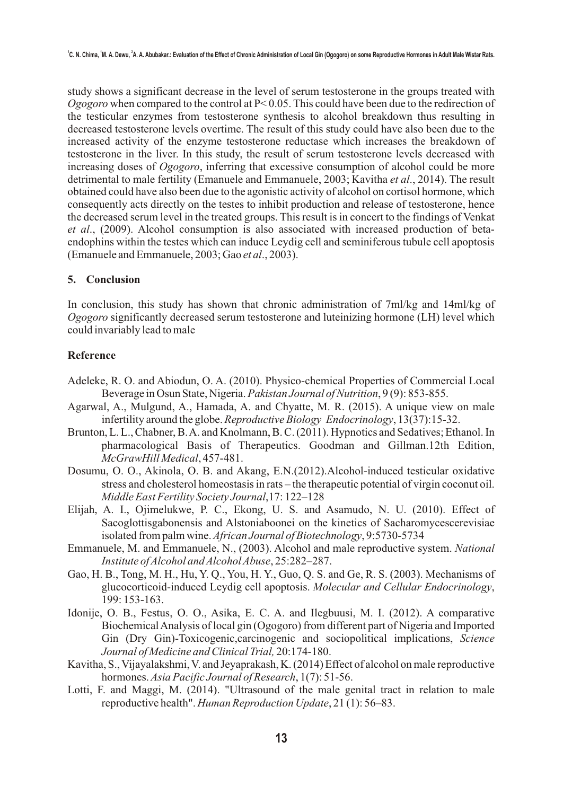study shows a significant decrease in the level of serum testosterone in the groups treated with *Ogogoro* when compared to the control at P< 0.05. This could have been due to the redirection of the testicular enzymes from testosterone synthesis to alcohol breakdown thus resulting in decreased testosterone levels overtime. The result of this study could have also been due to the increased activity of the enzyme testosterone reductase which increases the breakdown of testosterone in the liver. In this study, the result of serum testosterone levels decreased with increasing doses of *Ogogoro*, inferring that excessive consumption of alcohol could be more detrimental to male fertility (Emanuele and Emmanuele, 2003; Kavitha *et al*., 2014). The result obtained could have also been due to the agonistic activity of alcohol on cortisol hormone, which consequently acts directly on the testes to inhibit production and release of testosterone, hence the decreased serum level in the treated groups. This result is in concert to the findings of Venkat *et al*., (2009). Alcohol consumption is also associated with increased production of betaendophins within the testes which can induce Leydig cell and seminiferous tubule cell apoptosis (Emanuele and Emmanuele, 2003; Gao *et al*., 2003).

#### **5. Conclusion**

In conclusion, this study has shown that chronic administration of 7ml/kg and 14ml/kg of *Ogogoro* significantly decreased serum testosterone and luteinizing hormone (LH) level which could invariably lead to male

### **Reference**

- Adeleke, R. O. and Abiodun, O. A. (2010). Physico-chemical Properties of Commercial Local Beverage in Osun State, Nigeria. *Pakistan Journal of Nutrition*, 9 (9): 853-855.
- Agarwal, A., Mulgund, A., Hamada, A. and Chyatte, M. R. (2015). A unique view on male infertility around the globe. *Reproductive Biology Endocrinology*, 13(37):15-32.
- Brunton, L. L., Chabner, B. A. and Knolmann, B. C. (2011). Hypnotics and Sedatives; Ethanol. In pharmacological Basis of Therapeutics. Goodman and Gillman.12th Edition, *McGrawHill Medical*, 457-481.
- Dosumu, O. O., Akinola, O. B. and Akang, E.N.(2012).Alcohol-induced testicular oxidative stress and cholesterol homeostasis in rats – the therapeutic potential of virgin coconut oil. *Middle East Fertility Society Journal*,17: 122–128
- Elijah, A. I., Ojimelukwe, P. C., Ekong, U. S. and Asamudo, N. U. (2010). Effect of Sacoglottisgabonensis and Alstoniaboonei on the kinetics of Sacharomycescerevisiae isolated from palm wine. *African Journal of Biotechnology*, 9:5730-5734
- Emmanuele, M. and Emmanuele, N., (2003). Alcohol and male reproductive system. *National Institute of Alcohol and Alcohol Abuse*, 25:282–287.
- Gao, H. B., Tong, M. H., Hu, Y. Q., You, H. Y., Guo, Q. S. and Ge, R. S. (2003). Mechanisms of glucocorticoid-induced Leydig cell apoptosis. *Molecular and Cellular Endocrinology*, 199: 153-163.
- Idonije, O. B., Festus, O. O., Asika, E. C. A. and Ilegbuusi, M. I. (2012). A comparative Biochemical Analysis of local gin (Ogogoro) from different part of Nigeria and Imported Gin (Dry Gin)-Toxicogenic,carcinogenic and sociopolitical implications, *Science Journal of Medicine and Clinical Trial,* 20:174-180.
- Kavitha, S., Vijayalakshmi, V. and Jeyaprakash, K. (2014) Effect of alcohol on male reproductive hormones. *Asia Pacific Journal of Research*, 1(7): 51-56.
- Lotti, F. and Maggi, M. (2014). "Ultrasound of the male genital tract in relation to male reproductive health". *Human Reproduction Update*, 21 (1): 56–83.